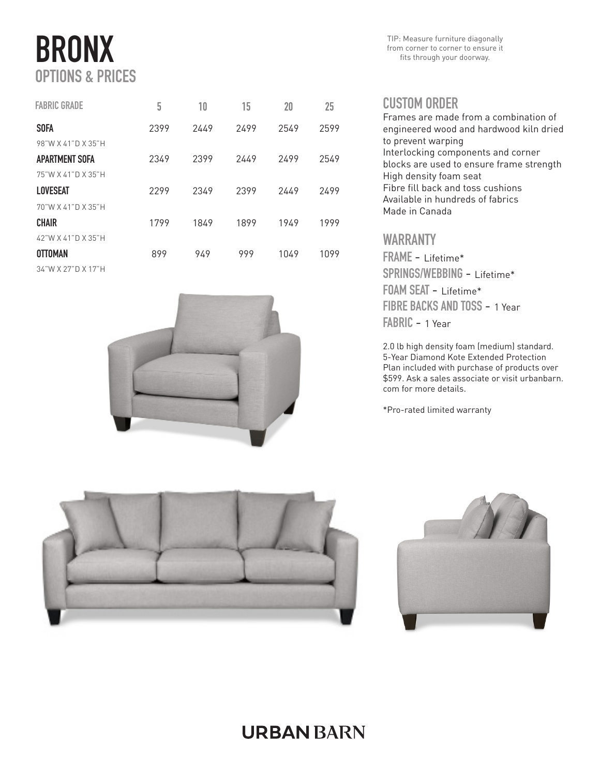# BRONX OPTIONS & PRICES

| <b>FABRIC GRADE</b> | 5    | 10   | 15   | 20   | 25   |
|---------------------|------|------|------|------|------|
| <b>SOFA</b>         | 2399 | 2449 | 2499 | 2549 | 2599 |
| 98"W X 41"D X 35"H  |      |      |      |      |      |
| APARTMENT SOFA      | 2349 | 2399 | 2449 | 2499 | 2549 |
| 75"W X 41"D X 35"H  |      |      |      |      |      |
| <b>LOVESEAT</b>     | 2299 | 2349 | 2399 | 2449 | 2499 |
| 70"W X 41"D X 35"H  |      |      |      |      |      |
| <b>CHAIR</b>        | 1799 | 1849 | 1899 | 1949 | 1999 |
| 42"W X 41"D X 35"H  |      |      |      |      |      |
| <b>OTTOMAN</b>      | 899  | 949  | 999  | 1049 | 1099 |
| 34"W X 27"D X 17"H  |      |      |      |      |      |



TIP: Measure furniture diagonally from corner to corner to ensure it fits through your doorway.

#### CUSTOM ORDER

Frames are made from a combination of engineered wood and hardwood kiln dried to prevent warping Interlocking components and corner blocks are used to ensure frame strength High density foam seat Fibre fill back and toss cushions Available in hundreds of fabrics Made in Canada

#### WARRANTY

FRAME - Lifetime\* SPRINGS/WEBBING - Lifetime\* FOAM SEAT - Lifetime\* FIBRE BACKS AND TOSS - 1 Year FABRIC - 1 Year

2.0 lb high density foam (medium) standard. 5-Year Diamond Kote Extended Protection Plan included with purchase of products over \$599. Ask a sales associate or visit urbanbarn. com for more details.

\*Pro-rated limited warranty





## **URBAN BARN**